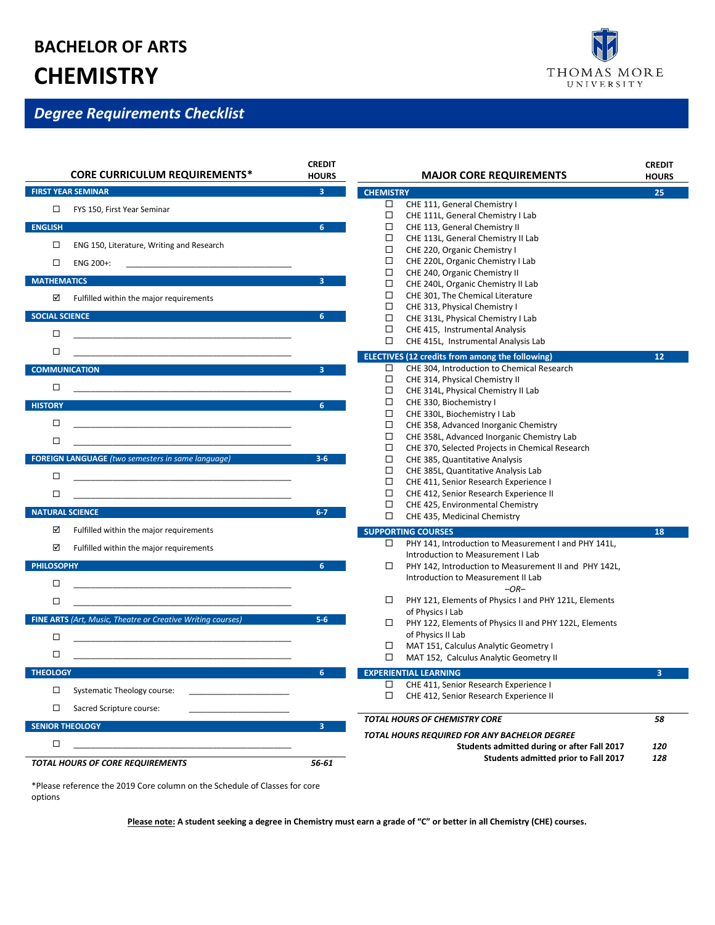## **BACHELOR OF ARTS CHEMISTRY**

## *Degree Requirements Checklist*

|                                                                       | <b>CORE CURRICULUM REQUIREMENTS*</b>                                                                                                              | <b>CREDIT</b><br><b>HOURS</b> |                            | <b>MAJOR CORE REQUIREMENTS</b>                                                                                                                                                                                               | <b>CREDIT</b><br><b>HOURS</b> |  |
|-----------------------------------------------------------------------|---------------------------------------------------------------------------------------------------------------------------------------------------|-------------------------------|----------------------------|------------------------------------------------------------------------------------------------------------------------------------------------------------------------------------------------------------------------------|-------------------------------|--|
| <b>FIRST YEAR SEMINAR</b><br>3 <sup>7</sup><br><b>CHEMISTRY</b><br>25 |                                                                                                                                                   |                               |                            |                                                                                                                                                                                                                              |                               |  |
| □<br><b>ENGLISH</b>                                                   | FYS 150, First Year Seminar                                                                                                                       | 6 <sup>1</sup>                | $\Box$<br>□<br>□           | CHE 111, General Chemistry I<br>CHE 111L, General Chemistry I Lab<br>CHE 113, General Chemistry II                                                                                                                           |                               |  |
| □<br>□<br><b>MATHEMATICS</b>                                          | ENG 150, Literature, Writing and Research<br>ENG 200+:                                                                                            | 3                             | □<br>□<br>□<br>□           | CHE 113L, General Chemistry II Lab<br>CHE 220, Organic Chemistry I<br>CHE 220L, Organic Chemistry I Lab<br>CHE 240, Organic Chemistry II                                                                                     |                               |  |
| ☑                                                                     | Fulfilled within the major requirements                                                                                                           |                               | □<br>$\Box$<br>□           | CHE 240L, Organic Chemistry II Lab<br>CHE 301, The Chemical Literature<br>CHE 313, Physical Chemistry I                                                                                                                      |                               |  |
| <b>SOCIAL SCIENCE</b><br>□                                            |                                                                                                                                                   | 6                             | $\Box$<br>□<br>□           | CHE 313L, Physical Chemistry I Lab<br>CHE 415, Instrumental Analysis<br>CHE 415L, Instrumental Analysis Lab                                                                                                                  |                               |  |
| □                                                                     |                                                                                                                                                   |                               |                            | <b>ELECTIVES (12 credits from among the following)</b>                                                                                                                                                                       | 12                            |  |
| $\Box$<br><b>HISTORY</b>                                              | <b>COMMUNICATION</b>                                                                                                                              | $\overline{3}$<br>6           | □<br>□<br>□<br>□           | CHE 304, Introduction to Chemical Research<br>CHE 314, Physical Chemistry II<br>CHE 314L, Physical Chemistry II Lab<br>CHE 330, Biochemistry I                                                                               |                               |  |
| □<br>□                                                                |                                                                                                                                                   |                               | □<br>□<br>□<br>□           | CHE 330L, Biochemistry I Lab<br>CHE 358, Advanced Inorganic Chemistry<br>CHE 358L, Advanced Inorganic Chemistry Lab<br>CHE 370, Selected Projects in Chemical Research                                                       |                               |  |
| □<br>□                                                                | <b>FOREIGN LANGUAGE</b> (two semesters in same language)<br><u> 1989 - Johann Stoff, amerikansk politiker (d. 1989)</u><br><b>NATURAL SCIENCE</b> | $3 - 6$<br>$6 - 7$            | □<br>□<br>□<br>□<br>□<br>□ | CHE 385, Quantitative Analysis<br>CHE 385L, Quantitative Analysis Lab<br>CHE 411, Senior Research Experience I<br>CHE 412, Senior Research Experience II<br>CHE 425, Environmental Chemistry<br>CHE 435, Medicinal Chemistry |                               |  |
| ☑<br>☑                                                                | Fulfilled within the major requirements<br>Fulfilled within the major requirements                                                                |                               | $\Box$                     | <b>SUPPORTING COURSES</b><br>PHY 141, Introduction to Measurement I and PHY 141L,                                                                                                                                            | 18                            |  |
| <b>PHILOSOPHY</b><br>□<br>□                                           | the control of the control of the control of the control of the control of the control of                                                         | 6                             | □<br>□                     | Introduction to Measurement I Lab<br>PHY 142, Introduction to Measurement II and PHY 142L,<br>Introduction to Measurement II Lab<br>$-OR-$<br>PHY 121, Elements of Physics I and PHY 121L, Elements                          |                               |  |
|                                                                       | <u> 1980 - Johann Stein, marwolaethau a bhann an t-Amhain an t-Amhain an t-Amhain an t-Amhain an t-Amhain an t-A</u>                              |                               |                            | of Physics I Lab                                                                                                                                                                                                             |                               |  |
| □<br>□                                                                | <b>FINE ARTS (Art, Music, Theatre or Creative Writing courses)</b>                                                                                | $5-6$                         | □<br>□<br>□                | PHY 122, Elements of Physics II and PHY 122L, Elements<br>of Physics II Lab<br>MAT 151, Calculus Analytic Geometry I<br>MAT 152, Calculus Analytic Geometry II                                                               |                               |  |
| <b>THEOLOGY</b>                                                       |                                                                                                                                                   | 6                             |                            | <b>EXPERIENTIAL LEARNING</b>                                                                                                                                                                                                 | 3                             |  |
| □<br>□                                                                | Systematic Theology course:<br>Sacred Scripture course:                                                                                           |                               | □<br>□                     | CHE 411, Senior Research Experience I<br>CHE 412, Senior Research Experience II                                                                                                                                              |                               |  |
|                                                                       | <b>SENIOR THEOLOGY</b>                                                                                                                            | 3                             |                            | TOTAL HOURS OF CHEMISTRY CORE                                                                                                                                                                                                | 58                            |  |
| □                                                                     | TOTAL HOURS OF CORE REQUIREMENTS                                                                                                                  | 56-61                         |                            | TOTAL HOURS REQUIRED FOR ANY BACHELOR DEGREE<br>Students admitted during or after Fall 2017<br>Students admitted prior to Fall 2017                                                                                          | 120<br>128                    |  |

\*Please reference the 2019 Core column on the Schedule of Classes for core options

**Please note: A student seeking a degree in Chemistry must earn a grade of "C" or better in all Chemistry (CHE) courses.**